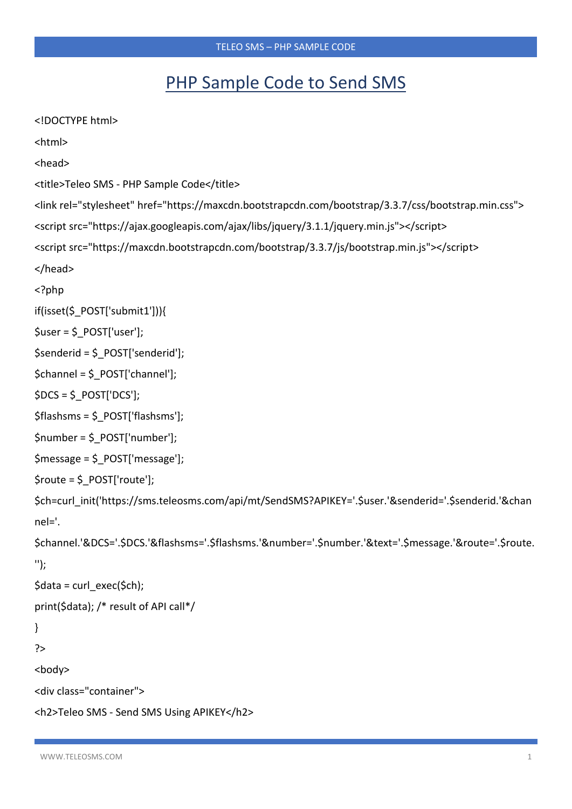## PHP Sample Code to Send SMS

```
<!DOCTYPE html>
<html>
<head>
<title>Teleo SMS - PHP Sample Code</title>
<link rel="stylesheet" href="https://maxcdn.bootstrapcdn.com/bootstrap/3.3.7/css/bootstrap.min.css">
<script src="https://ajax.googleapis.com/ajax/libs/jquery/3.1.1/jquery.min.js"></script>
<script src="https://maxcdn.bootstrapcdn.com/bootstrap/3.3.7/js/bootstrap.min.js"></script>
</head>
<?php
if(isset($_POST['submit1'])){
$user = $ POST['user'];
$senderid = $ POST['senderid'];
\$channel = $ POST['channel'];
$DCS = $ POST['DCS'];
$flashsms = $ POST['flashsms'];
$number = $ POST['number'];
$message = $ POST['message'];
$route = $ POST['route'];
$ch=curl_init('https://sms.teleosms.com/api/mt/SendSMS?APIKEY='.$user.'&senderid='.$senderid.'&chan
nel='.
$channel.'&DCS='.$DCS.'&flashsms='.$flashsms.'&number='.$number.'&text='.$message.'&route='.$route.
");
\frac{1}{2}data = curl exec($ch);
print($data); /* result of API call*/
\mathcal{E}\geq<body>
<div class="container">
<h2>Teleo SMS - Send SMS Using APIKEY</h2>
```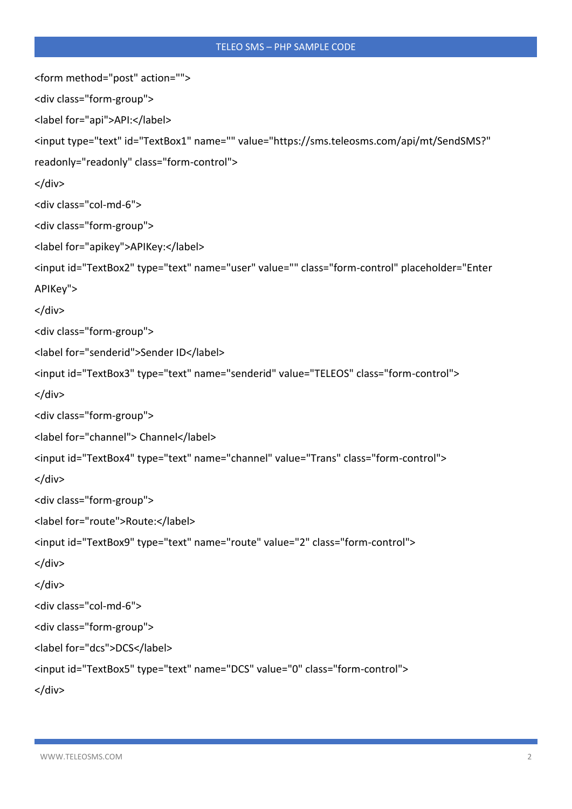```
<form method="post" action="">
<div class="form-group">
<label for="api">API:</label>
<input type="text" id="TextBox1" name="" value="https://sms.teleosms.com/api/mt/SendSMS?"
readonly="readonly" class="form-control">
</div>
<div class="col-md-6">
<div class="form-group">
<label for="apikey">APIKey:</label>
<input id="TextBox2" type="text" name="user" value="" class="form-control" placeholder="Enter
APIKey">
</div>
<div class="form-group">
<label for="senderid">Sender ID</label>
<input id="TextBox3" type="text" name="senderid" value="TELEOS" class="form-control">
</div>
<div class="form-group">
<label for="channel"> Channel</label>
<input id="TextBox4" type="text" name="channel" value="Trans" class="form-control">
</div>
<div class="form-group">
<label for="route">Route:</label>
<input id="TextBox9" type="text" name="route" value="2" class="form-control">
</div>
</div>
<div class="col-md-6">
<div class="form-group">
<label for="dcs">DCS</label>
<input id="TextBox5" type="text" name="DCS" value="0" class="form-control">
</div>
```